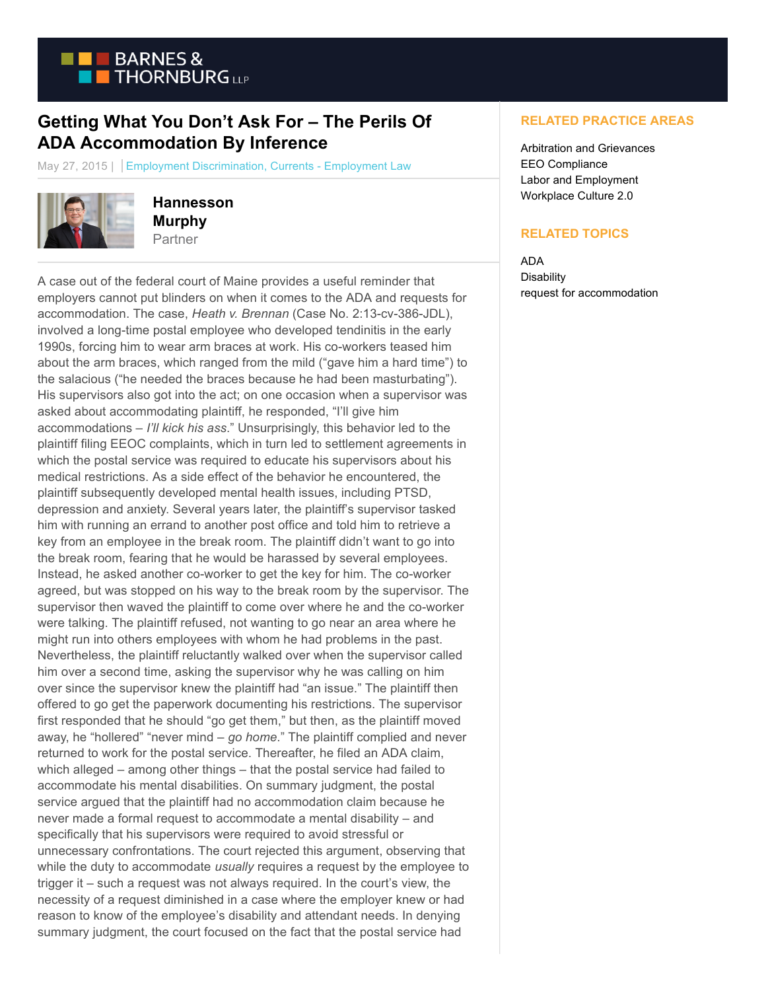

## **Getting What You Don't Ask For – The Perils Of ADA Accommodation By Inference**

May 27, 2015 | Employment Discrimination, Currents - Employment Law



**Hannesson Murphy** Partner

A case out of the federal court of Maine provides a useful reminder that employers cannot put blinders on when it comes to the ADA and requests for accommodation. The case, *Heath v. Brennan* (Case No. 2:13-cv-386-JDL), involved a long-time postal employee who developed tendinitis in the early 1990s, forcing him to wear arm braces at work. His co-workers teased him about the arm braces, which ranged from the mild ("gave him a hard time") to the salacious ("he needed the braces because he had been masturbating"). His supervisors also got into the act; on one occasion when a supervisor was asked about accommodating plaintiff, he responded, "I'll give him accommodations – *I'll kick his ass*." Unsurprisingly, this behavior led to the plaintiff filing EEOC complaints, which in turn led to settlement agreements in which the postal service was required to educate his supervisors about his medical restrictions. As a side effect of the behavior he encountered, the plaintiff subsequently developed mental health issues, including PTSD, depression and anxiety. Several years later, the plaintiff's supervisor tasked him with running an errand to another post office and told him to retrieve a key from an employee in the break room. The plaintiff didn't want to go into the break room, fearing that he would be harassed by several employees. Instead, he asked another co-worker to get the key for him. The co-worker agreed, but was stopped on his way to the break room by the supervisor. The supervisor then waved the plaintiff to come over where he and the co-worker were talking. The plaintiff refused, not wanting to go near an area where he might run into others employees with whom he had problems in the past. Nevertheless, the plaintiff reluctantly walked over when the supervisor called him over a second time, asking the supervisor why he was calling on him over since the supervisor knew the plaintiff had "an issue." The plaintiff then offered to go get the paperwork documenting his restrictions. The supervisor first responded that he should "go get them," but then, as the plaintiff moved away, he "hollered" "never mind – *go home*." The plaintiff complied and never returned to work for the postal service. Thereafter, he filed an ADA claim, which alleged – among other things – that the postal service had failed to accommodate his mental disabilities. On summary judgment, the postal service argued that the plaintiff had no accommodation claim because he never made a formal request to accommodate a mental disability – and specifically that his supervisors were required to avoid stressful or unnecessary confrontations. The court rejected this argument, observing that while the duty to accommodate *usually* requires a request by the employee to trigger it – such a request was not always required. In the court's view, the necessity of a request diminished in a case where the employer knew or had reason to know of the employee's disability and attendant needs. In denying summary judgment, the court focused on the fact that the postal service had

## **RELATED PRACTICE AREAS**

Arbitration and Grievances EEO Compliance Labor and Employment Workplace Culture 2.0

## **RELATED TOPICS**

ADA **Disability** request for accommodation